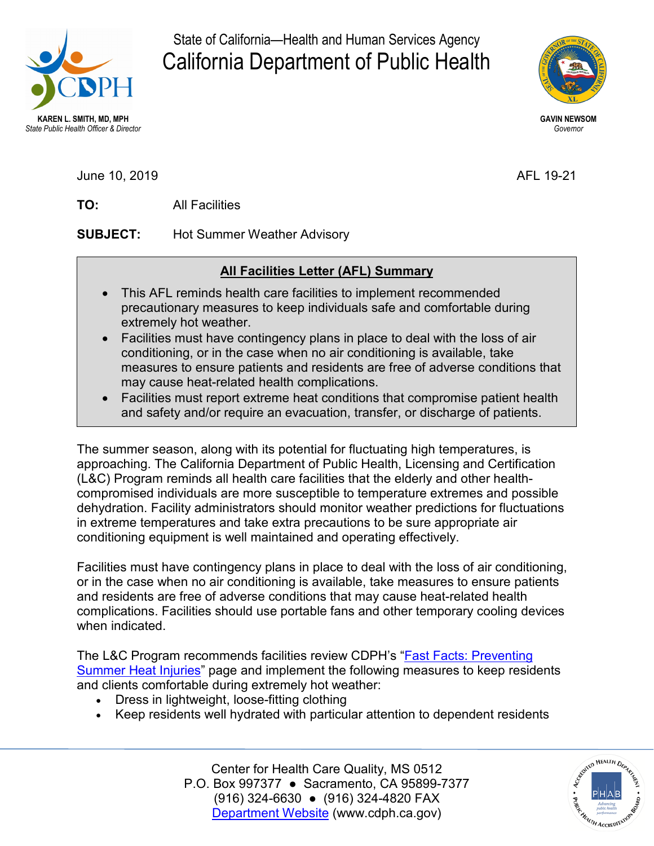

State of California—Health and Human Services Agency California Department of Public Health



June 10, 2019 **AFL 19-21** 

TO: **TO:** All Facilities

**SUBJECT: Hot Summer Weather Advisory** 

## **All Facilities Letter (AFL) Summary**

- This AFL reminds health care facilities to implement recommended precautionary measures to keep individuals safe and comfortable during extremely hot weather.
- • Facilities must have contingency plans in place to deal with the loss of air conditioning, or in the case when no air conditioning is available, take measures to ensure patients and residents are free of adverse conditions that may cause heat-related health complications.
- Facilities must report extreme heat conditions that compromise patient health and safety and/or require an evacuation, transfer, or discharge of patients.

 The summer season, along with its potential for fluctuating high temperatures, is dehydration. Facility administrators should monitor weather predictions for fluctuations approaching. The California Department of Public Health, Licensing and Certification (L&C) Program reminds all health care facilities that the elderly and other healthcompromised individuals are more susceptible to temperature extremes and possible in extreme temperatures and take extra precautions to be sure appropriate air conditioning equipment is well maintained and operating effectively.

Facilities must have contingency plans in place to deal with the loss of air conditioning, or in the case when no air conditioning is available, take measures to ensure patients and residents are free of adverse conditions that may cause heat-related health complications. Facilities should use portable fans and other temporary cooling devices when indicated.

The L&C Program recommends facilities review CDPH's ["Fast Facts: Preventing](https://www.cdph.ca.gov/Programs/CHCQ/LCP/Pages/Fast-Facts-Summer-Heat.aspx)  [Summer Heat Injuries"](https://www.cdph.ca.gov/Programs/CHCQ/LCP/Pages/Fast-Facts-Summer-Heat.aspx) page and implement the following measures to keep residents and clients comfortable during extremely hot weather:

- Dress in lightweight, loose-fitting clothing
- Keep residents well hydrated with particular attention to dependent residents

Center for Health Care Quality, MS 0512 Center for Health Care Quality, MS 0512 P.O. Box 997377 ● Sacramento, CA 95899-7377 (916) 324-6630 ● (916) 324-4820 FAX [Department Website](http://www.cdph.ca.gov/) [\(www.cdph.ca.gov](www.cdph.ca.gov))

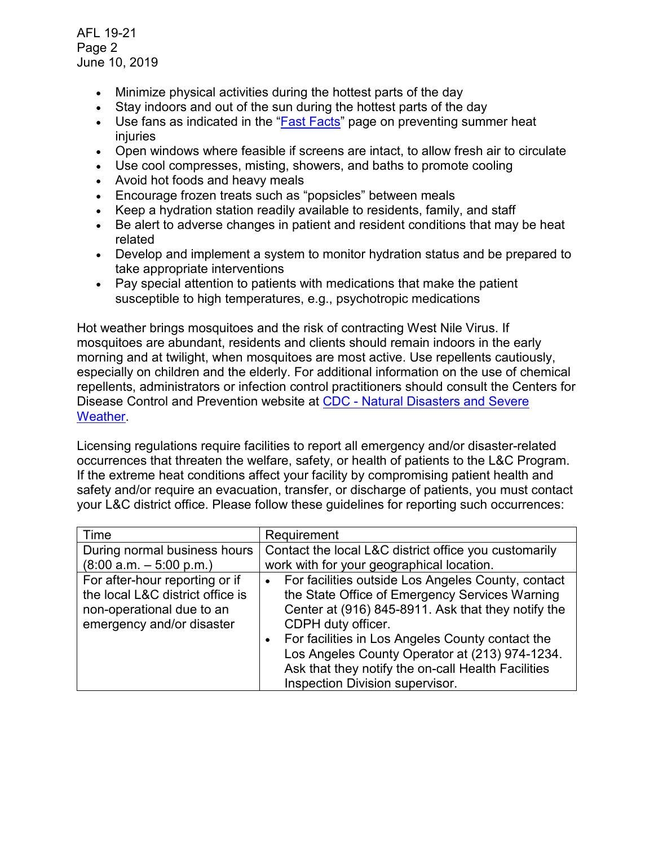AFL 19-21 Page 2 June 10, 2019

- Minimize physical activities during the hottest parts of the day
- Stay indoors and out of the sun during the hottest parts of the day
- Use fans as indicated in the ["Fast Facts"](https://www.cdph.ca.gov/Programs/CHCQ/LCP/Pages/Fast-Facts-Summer-Heat.aspx) page on preventing summer heat injuries
- Open windows where feasible if screens are intact, to allow fresh air to circulate
- Use cool compresses, misting, showers, and baths to promote cooling
- Avoid hot foods and heavy meals
- Encourage frozen treats such as "popsicles" between meals
- Keep a hydration station readily available to residents, family, and staff
- Be alert to adverse changes in patient and resident conditions that may be heat related
- Develop and implement a system to monitor hydration status and be prepared to take appropriate interventions
- Pay special attention to patients with medications that make the patient susceptible to high temperatures, e.g., psychotropic medications

 repellents, administrators or infection control practitioners should consult the Centers for Disease Control and Prevention website at CDC - Natural Disasters and Severe Hot weather brings mosquitoes and the risk of contracting West Nile Virus. If mosquitoes are abundant, residents and clients should remain indoors in the early morning and at twilight, when mosquitoes are most active. Use repellents cautiously, especially on children and the elderly. For additional information on the use of chemical **Weather** 

 If the extreme heat conditions affect your facility by compromising patient health and safety and/or require an evacuation, transfer, or discharge of patients, you must contact Licensing regulations require facilities to report all emergency and/or disaster-related occurrences that threaten the welfare, safety, or health of patients to the L&C Program. your L&C district office. Please follow these guidelines for reporting such occurrences:

| Time                             | Requirement                                                     |
|----------------------------------|-----------------------------------------------------------------|
| During normal business hours     | Contact the local L&C district office you customarily           |
| $(8:00 a.m. - 5:00 p.m.)$        | work with for your geographical location.                       |
| For after-hour reporting or if   | For facilities outside Los Angeles County, contact<br>$\bullet$ |
| the local L&C district office is | the State Office of Emergency Services Warning                  |
| non-operational due to an        | Center at (916) 845-8911. Ask that they notify the              |
| emergency and/or disaster        | CDPH duty officer.                                              |
|                                  | For facilities in Los Angeles County contact the<br>$\bullet$   |
|                                  | Los Angeles County Operator at (213) 974-1234.                  |
|                                  | Ask that they notify the on-call Health Facilities              |
|                                  | Inspection Division supervisor.                                 |